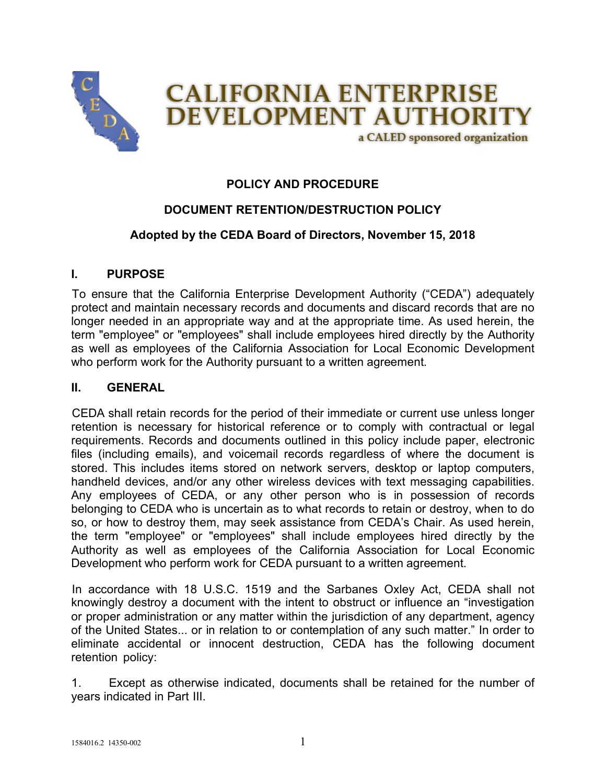

## **POLICY AND PROCEDURE**

## **DOCUMENT RETENTION/DESTRUCTION POLICY**

## **Adopted by the CEDA Board of Directors, November 15, 2018**

#### **I. PURPOSE**

To ensure that the California Enterprise Development Authority ("CEDA") adequately protect and maintain necessary records and documents and discard records that are no longer needed in an appropriate way and at the appropriate time. As used herein, the term "employee" or "employees" shall include employees hired directly by the Authority as well as employees of the California Association for Local Economic Development who perform work for the Authority pursuant to a written agreement.

#### **II. GENERAL**

CEDA shall retain records for the period of their immediate or current use unless longer retention is necessary for historical reference or to comply with contractual or legal requirements. Records and documents outlined in this policy include paper, electronic files (including emails), and voicemail records regardless of where the document is stored. This includes items stored on network servers, desktop or laptop computers, handheld devices, and/or any other wireless devices with text messaging capabilities. Any employees of CEDA, or any other person who is in possession of records belonging to CEDA who is uncertain as to what records to retain or destroy, when to do so, or how to destroy them, may seek assistance from CEDA's Chair. As used herein, the term "employee" or "employees" shall include employees hired directly by the Authority as well as employees of the California Association for Local Economic Development who perform work for CEDA pursuant to a written agreement.

In accordance with 18 U.S.C. 1519 and the Sarbanes Oxley Act, CEDA shall not knowingly destroy a document with the intent to obstruct or influence an "investigation or proper administration or any matter within the jurisdiction of any department, agency of the United States... or in relation to or contemplation of any such matter." In order to eliminate accidental or innocent destruction, CEDA has the following document retention policy:

1. Except as otherwise indicated, documents shall be retained for the number of years indicated in Part III.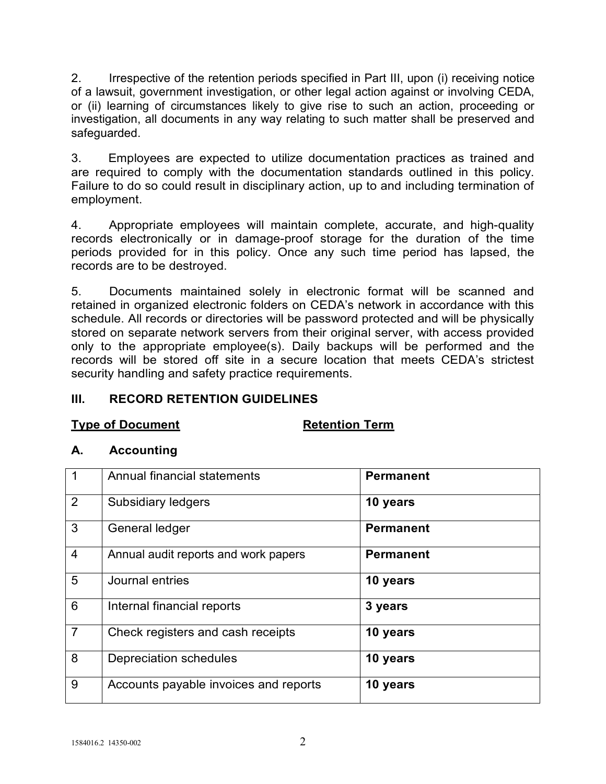2. Irrespective of the retention periods specified in Part III, upon (i) receiving notice of a lawsuit, government investigation, or other legal action against or involving CEDA, or (ii) learning of circumstances likely to give rise to such an action, proceeding or investigation, all documents in any way relating to such matter shall be preserved and safeguarded.

3. Employees are expected to utilize documentation practices as trained and are required to comply with the documentation standards outlined in this policy. Failure to do so could result in disciplinary action, up to and including termination of employment.

4. Appropriate employees will maintain complete, accurate, and high-quality records electronically or in damage-proof storage for the duration of the time periods provided for in this policy. Once any such time period has lapsed, the records are to be destroyed.

5. Documents maintained solely in electronic format will be scanned and retained in organized electronic folders on CEDA's network in accordance with this schedule. All records or directories will be password protected and will be physically stored on separate network servers from their original server, with access provided only to the appropriate employee(s). Daily backups will be performed and the records will be stored off site in a secure location that meets CEDA's strictest security handling and safety practice requirements.

## **III. RECORD RETENTION GUIDELINES**

#### **Type of Document Retention Term**

#### **A. Accounting**

|                | Annual financial statements           | <b>Permanent</b> |
|----------------|---------------------------------------|------------------|
| $\overline{2}$ | Subsidiary ledgers                    | 10 years         |
| 3              | General ledger                        | <b>Permanent</b> |
| $\overline{4}$ | Annual audit reports and work papers  | <b>Permanent</b> |
| 5              | Journal entries                       | 10 years         |
| 6              | Internal financial reports            | 3 years          |
| $\overline{7}$ | Check registers and cash receipts     | 10 years         |
| 8              | Depreciation schedules                | 10 years         |
| 9              | Accounts payable invoices and reports | 10 years         |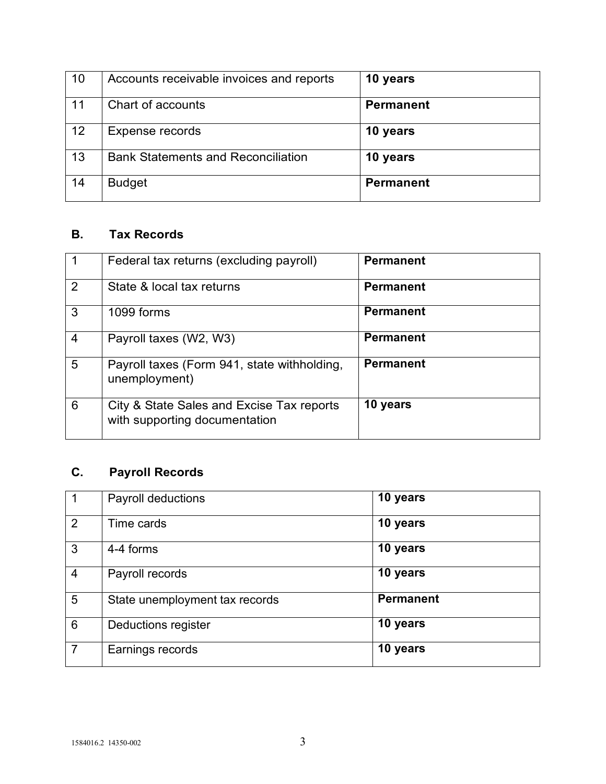| 10 | Accounts receivable invoices and reports  | 10 years         |
|----|-------------------------------------------|------------------|
| 11 | Chart of accounts                         | <b>Permanent</b> |
| 12 | Expense records                           | 10 years         |
| 13 | <b>Bank Statements and Reconciliation</b> | 10 years         |
| 14 | <b>Budget</b>                             | <b>Permanent</b> |

## **B. Tax Records**

|                | Federal tax returns (excluding payroll)                                    | <b>Permanent</b> |
|----------------|----------------------------------------------------------------------------|------------------|
| 2              | State & local tax returns                                                  | <b>Permanent</b> |
| 3              | 1099 forms                                                                 | <b>Permanent</b> |
| $\overline{4}$ | Payroll taxes (W2, W3)                                                     | <b>Permanent</b> |
| 5              | Payroll taxes (Form 941, state withholding,<br>unemployment)               | <b>Permanent</b> |
| 6              | City & State Sales and Excise Tax reports<br>with supporting documentation | 10 years         |

# **C. Payroll Records**

| -1             | Payroll deductions             | 10 years         |
|----------------|--------------------------------|------------------|
| 2              | Time cards                     | 10 years         |
| 3              | 4-4 forms                      | 10 years         |
| $\overline{4}$ | Payroll records                | 10 years         |
| 5              | State unemployment tax records | <b>Permanent</b> |
| 6              | Deductions register            | 10 years         |
| $\overline{7}$ | Earnings records               | 10 years         |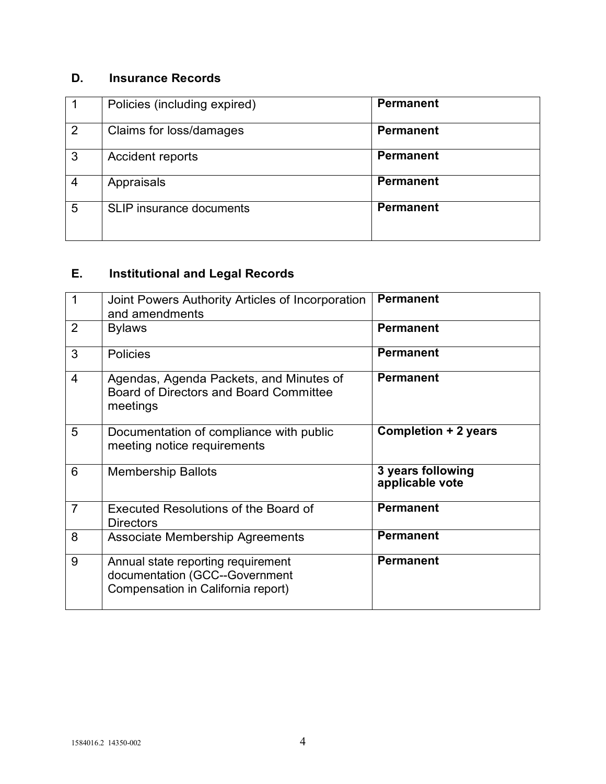## **D. Insurance Records**

|                | Policies (including expired)    | <b>Permanent</b> |
|----------------|---------------------------------|------------------|
| 2              | Claims for loss/damages         | <b>Permanent</b> |
| 3              | <b>Accident reports</b>         | <b>Permanent</b> |
| $\overline{4}$ | Appraisals                      | <b>Permanent</b> |
| 5              | <b>SLIP</b> insurance documents | <b>Permanent</b> |

# **E. Institutional and Legal Records**

| $\mathbf 1$    | Joint Powers Authority Articles of Incorporation<br>and amendments                                         | <b>Permanent</b>                     |
|----------------|------------------------------------------------------------------------------------------------------------|--------------------------------------|
| $\overline{2}$ | <b>Bylaws</b>                                                                                              | <b>Permanent</b>                     |
| 3              | <b>Policies</b>                                                                                            | <b>Permanent</b>                     |
| $\overline{4}$ | Agendas, Agenda Packets, and Minutes of<br>Board of Directors and Board Committee<br>meetings              | <b>Permanent</b>                     |
| 5              | Documentation of compliance with public<br>meeting notice requirements                                     | <b>Completion + 2 years</b>          |
| 6              | <b>Membership Ballots</b>                                                                                  | 3 years following<br>applicable vote |
| $\overline{7}$ | Executed Resolutions of the Board of<br><b>Directors</b>                                                   | <b>Permanent</b>                     |
| 8              | <b>Associate Membership Agreements</b>                                                                     | <b>Permanent</b>                     |
| 9              | Annual state reporting requirement<br>documentation (GCC--Government<br>Compensation in California report) | <b>Permanent</b>                     |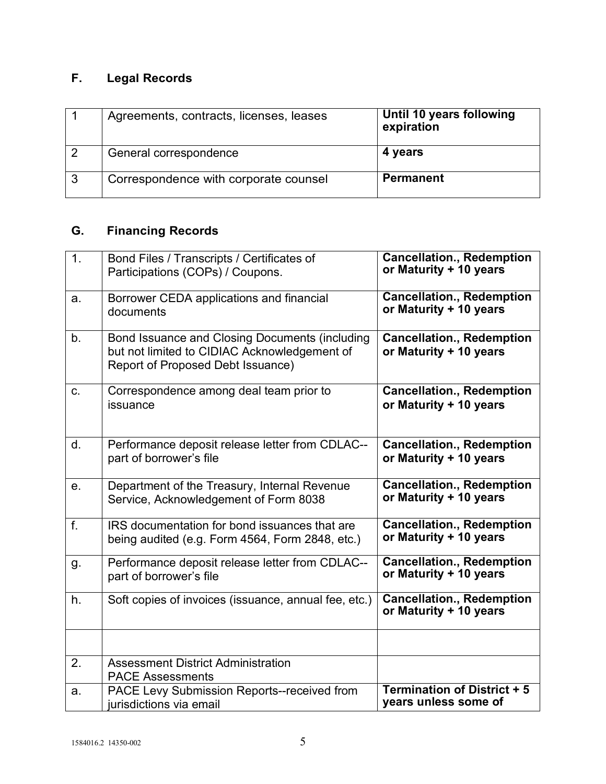# **F. Legal Records**

|   | Agreements, contracts, licenses, leases | Until 10 years following<br>expiration |
|---|-----------------------------------------|----------------------------------------|
|   | General correspondence                  | 4 years                                |
| 3 | Correspondence with corporate counsel   | <b>Permanent</b>                       |

# **G. Financing Records**

| 1. | Bond Files / Transcripts / Certificates of<br>Participations (COPs) / Coupons.                                                      | <b>Cancellation., Redemption</b><br>or Maturity + 10 years |
|----|-------------------------------------------------------------------------------------------------------------------------------------|------------------------------------------------------------|
| a. | Borrower CEDA applications and financial<br>documents                                                                               | <b>Cancellation., Redemption</b><br>or Maturity + 10 years |
| b. | Bond Issuance and Closing Documents (including<br>but not limited to CIDIAC Acknowledgement of<br>Report of Proposed Debt Issuance) | <b>Cancellation., Redemption</b><br>or Maturity + 10 years |
| C. | Correspondence among deal team prior to<br>issuance                                                                                 | <b>Cancellation., Redemption</b><br>or Maturity + 10 years |
| d. | Performance deposit release letter from CDLAC--<br>part of borrower's file                                                          | <b>Cancellation., Redemption</b><br>or Maturity + 10 years |
| е. | Department of the Treasury, Internal Revenue<br>Service, Acknowledgement of Form 8038                                               | <b>Cancellation., Redemption</b><br>or Maturity + 10 years |
| f. | IRS documentation for bond issuances that are<br>being audited (e.g. Form 4564, Form 2848, etc.)                                    | <b>Cancellation., Redemption</b><br>or Maturity + 10 years |
| g. | Performance deposit release letter from CDLAC--<br>part of borrower's file                                                          | <b>Cancellation., Redemption</b><br>or Maturity + 10 years |
| h. | Soft copies of invoices (issuance, annual fee, etc.)                                                                                | <b>Cancellation., Redemption</b><br>or Maturity + 10 years |
|    |                                                                                                                                     |                                                            |
| 2. | <b>Assessment District Administration</b><br><b>PACE Assessments</b>                                                                |                                                            |
| a. | <b>PACE Levy Submission Reports--received from</b><br>jurisdictions via email                                                       | <b>Termination of District + 5</b><br>years unless some of |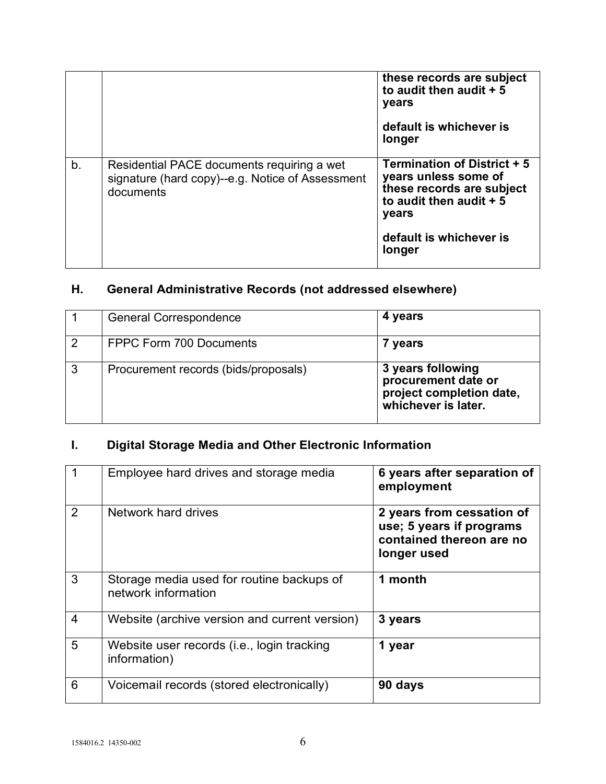|    |                                                                                                             | these records are subject<br>to audit then audit $+5$<br>years<br>default is whichever is                                    |
|----|-------------------------------------------------------------------------------------------------------------|------------------------------------------------------------------------------------------------------------------------------|
|    |                                                                                                             | longer                                                                                                                       |
| b. | Residential PACE documents requiring a wet<br>signature (hard copy)--e.g. Notice of Assessment<br>documents | <b>Termination of District + 5</b><br>years unless some of<br>these records are subject<br>to audit then audit $+5$<br>years |
|    |                                                                                                             | default is whichever is<br>longer                                                                                            |

# **H. General Administrative Records (not addressed elsewhere)**

|                | <b>General Correspondence</b>        | 4 years                                                                                     |
|----------------|--------------------------------------|---------------------------------------------------------------------------------------------|
| $\overline{2}$ | <b>FPPC Form 700 Documents</b>       | 7 years                                                                                     |
| 3              | Procurement records (bids/proposals) | 3 years following<br>procurement date or<br>project completion date,<br>whichever is later. |

# **I. Digital Storage Media and Other Electronic Information**

|                | Employee hard drives and storage media                           | 6 years after separation of<br>employment                                                        |
|----------------|------------------------------------------------------------------|--------------------------------------------------------------------------------------------------|
| 2              | Network hard drives                                              | 2 years from cessation of<br>use; 5 years if programs<br>contained thereon are no<br>longer used |
| 3              | Storage media used for routine backups of<br>network information | 1 month                                                                                          |
| $\overline{4}$ | Website (archive version and current version)                    | 3 years                                                                                          |
| 5              | Website user records (i.e., login tracking<br>information)       | 1 year                                                                                           |
| 6              | Voicemail records (stored electronically)                        | 90 days                                                                                          |